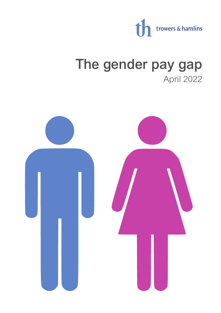

# The gender pay gap April 2022

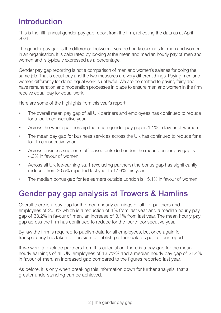### Introduction

This is the fifth annual gender pay gap report from the firm, reflecting the data as at April 2021.

The gender pay gap is the difference between average hourly earnings for men and women in an organisation. It is calculated by looking at the mean and median hourly pay of men and women and is typically expressed as a percentage.

Gender pay gap reporting is not a comparison of men and women's salaries for doing the same job. That is equal pay and the two measures are very different things. Paying men and women differently for doing equal work is unlawful. We are committed to paying fairly and have remuneration and moderation processes in place to ensure men and women in the firm receive equal pay for equal work.

Here are some of the highlights from this year's report:

- The overall mean pay gap of all UK partners and employees has continued to reduce for a fourth consecutive year.
- Across the whole partnership the mean gender pay gap is 1.1% in favour of women.
- The mean pay gap for business services across the UK has continued to reduce for a fourth consecutive year.
- Across business support staff based outside London the mean gender pay gap is 4.3% in favour of women.
- Across all UK fee-earning staff (excluding partners) the bonus gap has significantly reduced from 30.5% reported last year to 17.6% this year .
- The median bonus gap for fee earners outside London is 15.1% in favour of women.

## Gender pay gap analysis at Trowers & Hamlins

Overall there is a pay gap for the mean hourly earnings of all UK partners and employees of 20.3% which is a reduction of 1% from last year and a median hourly pay gap of 33.2% in favour of men, an increase of 3.1% from last year. The mean hourly pay gap across the firm has continued to reduce for the fourth consecutive year.

By law the firm is required to publish data for all employees, but once again for transparency has taken to decision to publish partner data as part of our report.

If we were to exclude partners from this calculation, there is a pay gap for the mean hourly earnings of all UK employees of 13.7%% and a median hourly pay gap of 21.4% in favour of men, an increased gap compared to the figures reported last year.

As before, it is only when breaking this information down for further analysis, that a greater understanding can be achieved.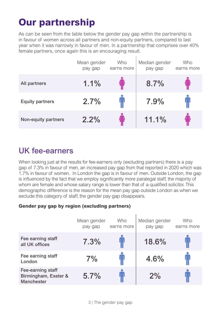## **Our partnership**

As can be seen from the table below the gender pay gap within the partnership is in favour of women across all partners and non-equity partners, compared to last year when it was narrowly in favour of men. In a partnership that comprises over 40% female partners, once again this is an encouraging result.

|                        | Mean gender<br>pay gap | <b>Who</b><br>earns more | Median gender<br>pay gap | Who<br>earns more |
|------------------------|------------------------|--------------------------|--------------------------|-------------------|
| All partners           | 1.1%                   |                          | 8.7%                     |                   |
| <b>Equity partners</b> | 2.7%                   |                          | 7.9%                     |                   |
| Non-equity partners    | 2.2%                   |                          | 11.1%                    |                   |

## UK fee-earners

When looking just at the results for fee-earners only (excluding partners) there is a pay gap of 7.3% in favour of men, an increased pay gap from that reported in 2020 which was 1.7% in favour of women. In London the gap is in favour of men. Outside London, the gap is influenced by the fact that we employ significantly more paralegal staff, the majority of whom are female and whose salary range is lower than that of a qualified solicitor. This demographic difference is the reason for the mean pay gap outside London as when we exclude this category of staff, the gender pay gap disappears.

#### **Gender pay gap by region (excluding partners)**

|                                                                | Mean gender<br>pay gap | Who<br>earns more | Median gender<br>pay gap | Who<br>earns more |
|----------------------------------------------------------------|------------------------|-------------------|--------------------------|-------------------|
| Fee earning staff<br>all UK offices                            | 7.3%                   |                   | 18.6%                    |                   |
| Fee earning staff<br>London                                    | 7%                     |                   | 4.6%                     |                   |
| Fee-earning staff<br>Birmingham, Exeter &<br><b>Manchester</b> | 5.7%                   |                   | 2%                       |                   |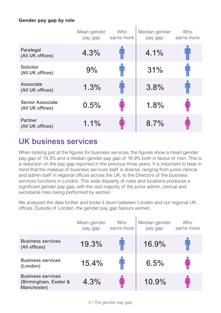#### **Gender pay gap by role**

|                                             | Mean gender<br>pay gap | <b>Who</b><br>earns more | Median gender<br>pay gap | Who<br>earns more |
|---------------------------------------------|------------------------|--------------------------|--------------------------|-------------------|
| Paralegal<br>(All UK offices)               | 4.3%                   |                          | 4.1%                     |                   |
| Solicitor<br>(All UK offices)               | 9%                     |                          | 31%                      |                   |
| Associate<br>(All UK offices)               | 1.3%                   | Ψ                        | 3.8%                     |                   |
| <b>Senior Associate</b><br>(All UK offices) | 0.5%                   |                          | 1.8%                     |                   |
| Partner<br>(All UK offices)                 | 1.1%                   |                          | 8.7%                     |                   |

## UK business services

When looking just at the figures for business services, the figures show a mean gender pay gap of 19.3% and a median gender pay gap of 16.9% both in favour of men. This is a reduction on the pay gap reported in the previous three years. It is important to bear in mind that the makeup of business services staff is diverse, ranging from junior clerical and admin staff in regional offices across the UK, to the Directors of the business services functions in London. This wide disparity of roles and locations produces a significant gender pay gap, with the vast majority of the junior admin, clerical and secretarial roles being performed by women.

We analysed the data further and broke it down between London and our regional UK offices. Outside of London, the gender pay gap favours women.

|                                                                  | Mean gender<br>pay gap | Who<br>earns more | Median gender<br>pay gap | Who<br>earns more |
|------------------------------------------------------------------|------------------------|-------------------|--------------------------|-------------------|
| <b>Business services</b><br>(All offices)                        | 19.3%                  |                   | 16.9%                    |                   |
| <b>Business services</b><br>(London)                             | 15.4%                  |                   | 6.5%                     |                   |
| <b>Business services</b><br>(Birmingham, Exeter &<br>Manchester) | 4.3%                   |                   | 10.9%                    |                   |

4 | The gender pay gap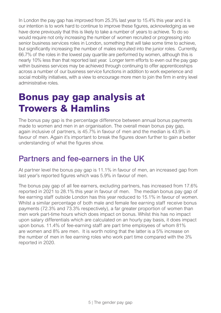In London the pay gap has improved from 25.3% last year to 15.4% this year and it is our intention is to work hard to continue to improve these figures, acknowledging as we have done previously that this is likely to take a number of years to achieve. To do so would require not only increasing the number of women recruited or progressing into senior business services roles in London, something that will take some time to achieve, but significantly increasing the number of males recruited into the junior roles. Currently, 66.7% of the roles in the lowest pay quartile are performed by women, although this is nearly 10% less than that reported last year. Longer term efforts to even out the pay gap within business services may be achieved through continuing to offer apprenticeships across a number of our business service functions in addition to work experience and social mobility initiatives, with a view to encourage more men to join the firm in entry level administrative roles.

## **Bonus pay gap analysis at Trowers & Hamlins**

The bonus pay gap is the percentage difference between annual bonus payments made to women and men in an organisation. The overall mean bonus pay gap, again inclusive of partners, is 45.7% in favour of men and the median is 43.9% in favour of men. Again it's important to break the figures down further to gain a better understanding of what the figures show.

### Partners and fee-earners in the UK

At partner level the bonus pay gap is 11.1% in favour of men, an increased gap from last year's reported figures which was 5.9% in favour of men.

The bonus pay gap of all fee earners, excluding partners, has increased from 17.6% reported in 2021 to 28.1% this year in favour of men. The median bonus pay gap of fee earning staff outside London has this year reduced to 15.1% in favour of women. Whilst a similar percentage of both male and female fee earning staff receive bonus payments (72.3% and 73.3% respectively), a far greater proportion of women than men work part-time hours which does impact on bonus. Whilst this has no impact upon salary differentials which are calculated on an hourly pay basis, it does impact upon bonus. 11.4% of fee-earning staff are part time employees of whom 81% are women and 8% are men. It is worth noting that the latter is a 5% increase on the number of men in fee earning roles who work part time compared with the 3% reported in 2020.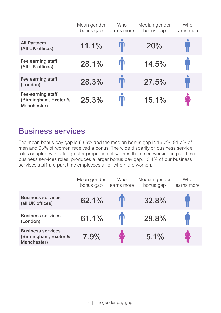|                                                           | Mean gender<br>bonus gap | <b>Who</b><br>earns more | Median gender<br>bonus gap | Who<br>earns more |
|-----------------------------------------------------------|--------------------------|--------------------------|----------------------------|-------------------|
| <b>All Partners</b><br>(All UK offices)                   | 11.1%                    |                          | 20%                        |                   |
| Fee earning staff<br>(All UK offices)                     | 28.1%                    | $\blacksquare$           | 14.5%                      | IJ                |
| Fee earning staff<br>(London)                             | 28.3%                    |                          | 27.5%                      |                   |
| Fee-earning staff<br>(Birmingham, Exeter &<br>Manchester) | 25.3%                    | Ţ                        | 15.1%                      |                   |

ï

### Business services

The mean bonus pay gap is 63.9% and the median bonus gap is 16.7%. 91.7% of men and 93% of women received a bonus. The wide disparity of business service roles coupled with a far greater proportion of women than men working in part time business services roles, produces a larger bonus pay gap. 10.4% of our business services staff are part time employees all of whom are women.

|                                                                  | Mean gender<br>bonus gap | <b>Who</b><br>earns more | Median gender<br>bonus gap | Who<br>earns more |
|------------------------------------------------------------------|--------------------------|--------------------------|----------------------------|-------------------|
| <b>Business services</b><br>(all UK offices)                     | 62.1%                    |                          | 32.8%                      |                   |
| <b>Business services</b><br>(London)                             | 61.1%                    |                          | 29.8%                      |                   |
| <b>Business services</b><br>(Birmingham, Exeter &<br>Manchester) | 7.9%                     |                          | 5.1%                       |                   |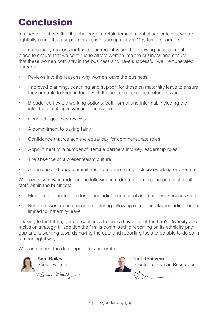## **Conclusion**

In a sector that can find it a challenge to retain female talent at senior levels, we are rightfully proud that our partnership is made up of over 40% female partners.

There are many reasons for this, but in recent years the following has been put in place to ensure that we continue to attract women into the business and ensure that these women both stay in the business and have successful, well remunerated careers:

- Reviews into the reasons why women leave the business
- Improved planning, coaching and support for those on maternity leave to ensure they are able to keep in touch with the firm and ease their return to work
- Broadened flexible working options, both formal and informal, including the introduction of agile working across the firm
- Conduct equal pay reviews
- A commitment to paying fairly
- Confidence that we achieve equal pay for commensurate roles
- Appointment of a number of female partners into key leadership roles
- The absence of a presenteeism culture
- A genuine and deep commitment to a diverse and inclusive working environment

We have also now introduced the following in order to maximise the potential of all staff within the business:

- Mentoring opportunities for all, including secretarial and business services staff
- Return to work coaching and mentoring following career breaks, including, but not limited to maternity leave.

Looking to the future, gender continues to form a key pillar of the firm's Diversity and Inclusion strategy. In addition the firm is committed to reporting on its ethnicity pay gap and is working towards having the data and reporting tools to be able to do so in a meaningful way.

We can confirm the data reported is accurate.



Sara Bailey<br>
Senior Partner<br>
Senior Partner<br>
Paul Robinson<br>
Director of Hum Senior Partner<br>
Sex Belletter of Human Resources<br>
DNA